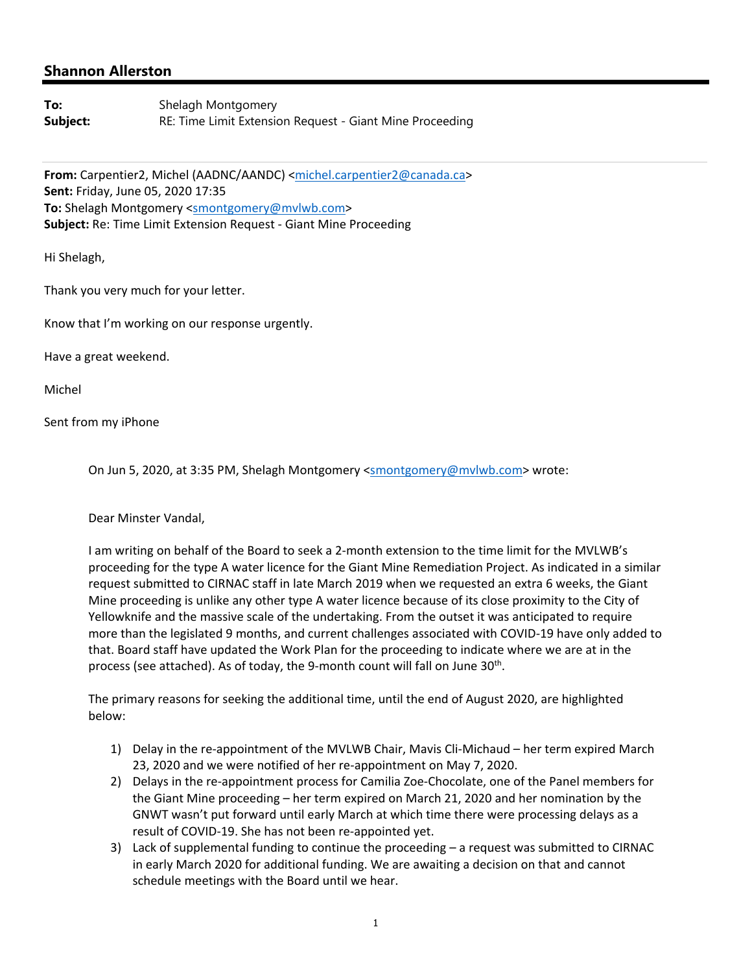## **Shannon Allerston**

**To:** Shelagh Montgomery **Subject:** RE: Time Limit Extension Request - Giant Mine Proceeding

From: Carpentier2, Michel (AADNC/AANDC) <michel.carpentier2@canada.ca> **Sent:** Friday, June 05, 2020 17:35 **To:** Shelagh Montgomery <smontgomery@mvlwb.com> **Subject:** Re: Time Limit Extension Request ‐ Giant Mine Proceeding

Hi Shelagh,

Thank you very much for your letter.

Know that I'm working on our response urgently.

Have a great weekend.

Michel

Sent from my iPhone

On Jun 5, 2020, at 3:35 PM, Shelagh Montgomery <smontgomery@mvlwb.com> wrote:

Dear Minster Vandal,

I am writing on behalf of the Board to seek a 2‐month extension to the time limit for the MVLWB's proceeding for the type A water licence for the Giant Mine Remediation Project. As indicated in a similar request submitted to CIRNAC staff in late March 2019 when we requested an extra 6 weeks, the Giant Mine proceeding is unlike any other type A water licence because of its close proximity to the City of Yellowknife and the massive scale of the undertaking. From the outset it was anticipated to require more than the legislated 9 months, and current challenges associated with COVID‐19 have only added to that. Board staff have updated the Work Plan for the proceeding to indicate where we are at in the process (see attached). As of today, the 9-month count will fall on June 30<sup>th</sup>.

The primary reasons for seeking the additional time, until the end of August 2020, are highlighted below:

- 1) Delay in the re-appointment of the MVLWB Chair, Mavis Cli-Michaud her term expired March 23, 2020 and we were notified of her re‐appointment on May 7, 2020.
- 2) Delays in the re‐appointment process for Camilia Zoe‐Chocolate, one of the Panel members for the Giant Mine proceeding – her term expired on March 21, 2020 and her nomination by the GNWT wasn't put forward until early March at which time there were processing delays as a result of COVID‐19. She has not been re‐appointed yet.
- 3) Lack of supplemental funding to continue the proceeding a request was submitted to CIRNAC in early March 2020 for additional funding. We are awaiting a decision on that and cannot schedule meetings with the Board until we hear.